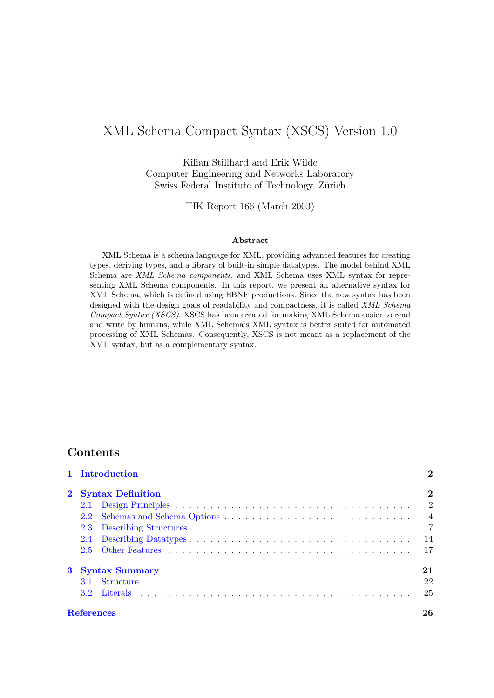# XML Schema Compact Syntax (XSCS) Version 1.0

Kilian Stillhard and Erik Wilde Computer Engineering and Networks Laboratory Swiss Federal Institute of Technology, Zürich

TIK Report 166 (March 2003)

#### Abstract

XML Schema is a schema language for XML, providing advanced features for creating types, deriving types, and a library of built-in simple datatypes. The model behind XML Schema are XML Schema components, and XML Schema uses XML syntax for representing XML Schema components. In this report, we present an alternative syntax for XML Schema, which is defined using EBNF productions. Since the new syntax has been designed with the design goals of readability and compactness, it is called XML Schema Compact Syntax (XSCS). XSCS has been created for making XML Schema easier to read and write by humans, while XML Schema's XML syntax is better suited for automated processing of XML Schemas. Consequently, XSCS is not meant as a replacement of the XML syntax, but as a complementary syntax.

# Contents

|                   | 1 Introduction      | $\bf{2}$       |
|-------------------|---------------------|----------------|
|                   | 2 Syntax Definition | $\bf{2}$       |
|                   |                     | $\overline{2}$ |
| $2.2^{\circ}$     |                     | $\overline{4}$ |
|                   |                     | $\overline{7}$ |
|                   |                     | 14             |
| $2.5^{\circ}$     |                     | 17             |
|                   | 3 Syntax Summary    | 21             |
|                   |                     | 22             |
| $32^{\circ}$      |                     | 25             |
| <b>References</b> |                     | 26             |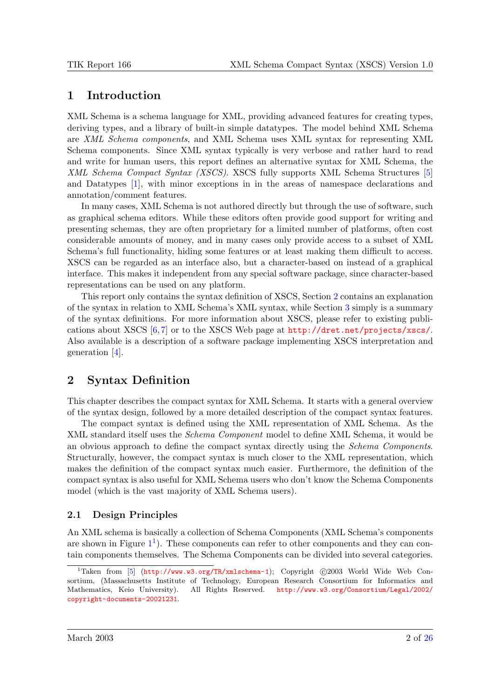# <span id="page-1-0"></span>1 Introduction

XML Schema is a schema language for XML, providing advanced features for creating types, deriving types, and a library of built-in simple datatypes. The model behind XML Schema are XML Schema components, and XML Schema uses XML syntax for representing XML Schema components. Since XML syntax typically is very verbose and rather hard to read and write for human users, this report defines an alternative syntax for XML Schema, the XML Schema Compact Syntax (XSCS). XSCS fully supports XML Schema Structures [\[5\]](#page-25-0) and Datatypes [\[1\]](#page-25-0), with minor exceptions in in the areas of namespace declarations and annotation/comment features.

In many cases, XML Schema is not authored directly but through the use of software, such as graphical schema editors. While these editors often provide good support for writing and presenting schemas, they are often proprietary for a limited number of platforms, often cost considerable amounts of money, and in many cases only provide access to a subset of XML Schema's full functionality, hiding some features or at least making them difficult to access. XSCS can be regarded as an interface also, but a character-based on instead of a graphical interface. This makes it independent from any special software package, since character-based representations can be used on any platform.

This report only contains the syntax definition of XSCS, Section 2 contains an explanation of the syntax in relation to XML Schema's XML syntax, while Section [3](#page-20-0) simply is a summary of the syntax definitions. For more information about XSCS, please refer to existing publications about XSCS [\[6,](#page-25-0) [7\]](#page-25-0) or to the XSCS Web page at <http://dret.net/projects/xscs/>. Also available is a description of a software package implementing XSCS interpretation and generation [\[4\]](#page-25-0).

# 2 Syntax Definition

This chapter describes the compact syntax for XML Schema. It starts with a general overview of the syntax design, followed by a more detailed description of the compact syntax features.

The compact syntax is defined using the XML representation of XML Schema. As the XML standard itself uses the *Schema Component* model to define XML Schema, it would be an obvious approach to define the compact syntax directly using the Schema Components. Structurally, however, the compact syntax is much closer to the XML representation, which makes the definition of the compact syntax much easier. Furthermore, the definition of the compact syntax is also useful for XML Schema users who don't know the Schema Components model (which is the vast majority of XML Schema users).

# 2.1 Design Principles

An XML schema is basically a collection of Schema Components (XML Schema's components are shown in Figure  $1^1$  $1^1$ ). These components can refer to other components and they can contain components themselves. The Schema Components can be divided into several categories.

<sup>&</sup>lt;sup>1</sup>Taken from [\[5\]](#page-25-0) (<http://www.w3.org/TR/xmlschema-1>); Copyright  $©2003$  World Wide Web Consortium, (Massachusetts Institute of Technology, European Research Consortium for Informatics and Mathematics, Keio University). All Rights Reserved. [http://www.w3.org/Consortium/Legal/2002/](http://www.w3.org/Consortium/Legal/2002/copyright-documents-20021231) [copyright-documents-20021231](http://www.w3.org/Consortium/Legal/2002/copyright-documents-20021231).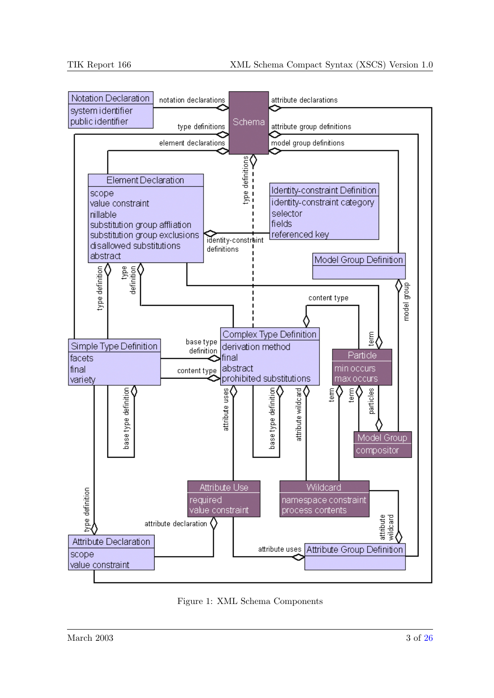<span id="page-2-0"></span>

Figure 1: XML Schema Components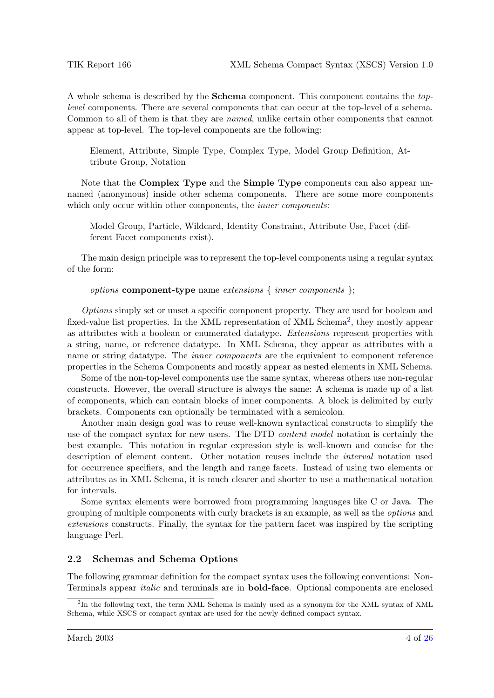<span id="page-3-0"></span>A whole schema is described by the Schema component. This component contains the toplevel components. There are several components that can occur at the top-level of a schema. Common to all of them is that they are named, unlike certain other components that cannot appear at top-level. The top-level components are the following:

Element, Attribute, Simple Type, Complex Type, Model Group Definition, Attribute Group, Notation

Note that the **Complex Type** and the **Simple Type** components can also appear unnamed (anonymous) inside other schema components. There are some more components which only occur within other components, the *inner components*:

Model Group, Particle, Wildcard, Identity Constraint, Attribute Use, Facet (different Facet components exist).

The main design principle was to represent the top-level components using a regular syntax of the form:

*options* component-type name extensions  $\{$  inner components  $\}$ ;

Options simply set or unset a specific component property. They are used for boolean and fixed-value list properties. In the XML representation of XML Schema<sup>2</sup>, they mostly appear as attributes with a boolean or enumerated datatype. Extensions represent properties with a string, name, or reference datatype. In XML Schema, they appear as attributes with a name or string datatype. The *inner components* are the equivalent to component reference properties in the Schema Components and mostly appear as nested elements in XML Schema.

Some of the non-top-level components use the same syntax, whereas others use non-regular constructs. However, the overall structure is always the same: A schema is made up of a list of components, which can contain blocks of inner components. A block is delimited by curly brackets. Components can optionally be terminated with a semicolon.

Another main design goal was to reuse well-known syntactical constructs to simplify the use of the compact syntax for new users. The DTD *content model* notation is certainly the best example. This notation in regular expression style is well-known and concise for the description of element content. Other notation reuses include the interval notation used for occurrence specifiers, and the length and range facets. Instead of using two elements or attributes as in XML Schema, it is much clearer and shorter to use a mathematical notation for intervals.

Some syntax elements were borrowed from programming languages like C or Java. The grouping of multiple components with curly brackets is an example, as well as the options and extensions constructs. Finally, the syntax for the pattern facet was inspired by the scripting language Perl.

# 2.2 Schemas and Schema Options

The following grammar definition for the compact syntax uses the following conventions: Non-Terminals appear italic and terminals are in bold-face. Optional components are enclosed

<sup>&</sup>lt;sup>2</sup>In the following text, the term XML Schema is mainly used as a synonym for the XML syntax of XML Schema, while XSCS or compact syntax are used for the newly defined compact syntax.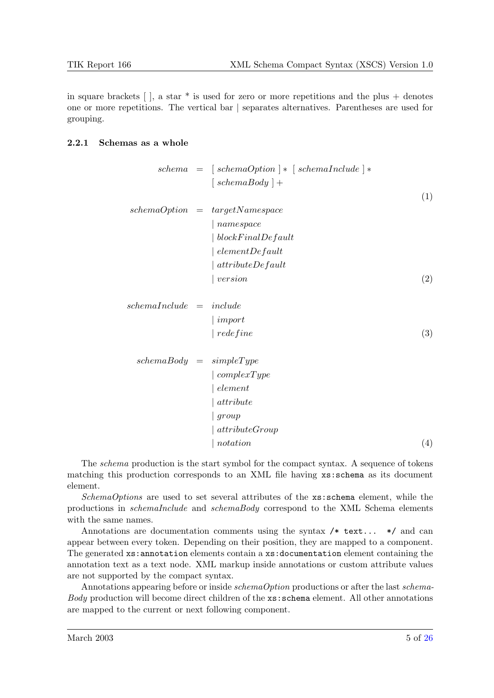in square brackets  $\lceil \cdot \rceil$ , a star  $*$  is used for zero or more repetitions and the plus + denotes one or more repetitions. The vertical bar | separates alternatives. Parentheses are used for grouping.

#### 2.2.1 Schemas as a whole

| $schema = [schemaOption] * [schemaIndude] *$ | $[schemaBody] +$ | $(1)$            |                  |                   |                    |           |       |
|----------------------------------------------|------------------|------------------|------------------|-------------------|--------------------|-----------|-------|
| $schemaOption = targetNamespace$             | $ namepace$      | $ blockFindLeft$ | $ blockFindLeft$ | $ elementDefault$ | $attributeDefault$ | $version$ | $(2)$ |

$$
schemal nclude = include
$$
  
 | import  
 | redefine\t\t(3)

$$
schemaBody = simpleType
$$
  
\n
$$
| complexType
$$
  
\n
$$
| element
$$
  
\n
$$
| attribute
$$
  
\n
$$
| group
$$
  
\n
$$
| attributeGroup
$$
  
\n
$$
| notation
$$
  
\n(4)

The schema production is the start symbol for the compact syntax. A sequence of tokens matching this production corresponds to an XML file having xs:schema as its document element.

SchemaOptions are used to set several attributes of the xs:schema element, while the productions in schemaInclude and schemaBody correspond to the XML Schema elements with the same names.

Annotations are documentation comments using the syntax  $/*$  text...  $*/$  and can appear between every token. Depending on their position, they are mapped to a component. The generated xs:annotation elements contain a xs:documentation element containing the annotation text as a text node. XML markup inside annotations or custom attribute values are not supported by the compact syntax.

Annotations appearing before or inside schemaOption productions or after the last schema-Body production will become direct children of the xs:schema element. All other annotations are mapped to the current or next following component.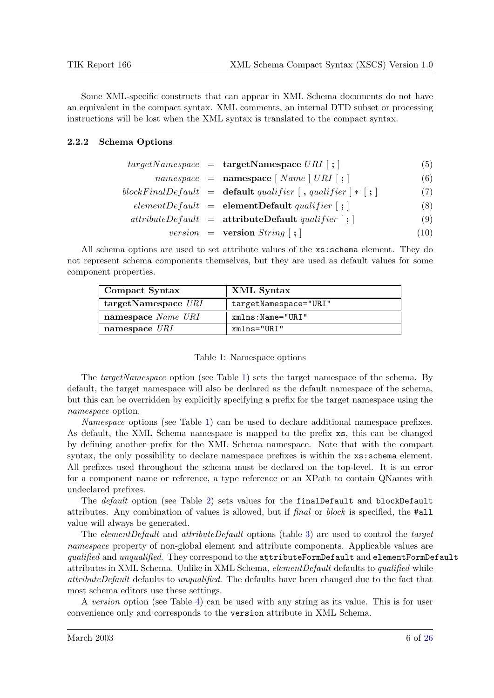Some XML-specific constructs that can appear in XML Schema documents do not have an equivalent in the compact syntax. XML comments, an internal DTD subset or processing instructions will be lost when the XML syntax is translated to the compact syntax.

### 2.2.2 Schema Options

|  |  | $targetNamespace = targetNamespace \text{ } URI [\ ; ]$ | (5) |
|--|--|---------------------------------------------------------|-----|
|--|--|---------------------------------------------------------|-----|

|  | $namespace = \textbf{namespace} [Name] URI ; ]$                                                          | (6)  |
|--|----------------------------------------------------------------------------------------------------------|------|
|  | blockFinalDefault = $\textbf{default } quality$ (, qualifier $\vert \cdot \vert$ ) = $\vert \cdot \vert$ | (7)  |
|  | $elementDefault = elementDefault\ quality[i]$                                                            | (8)  |
|  | $attributeDefault = attributeDefault \quad \text{quality}$                                               | (9)  |
|  | <i>version</i> = <b>version</b> $String$ [; ]                                                            | (10) |

All schema options are used to set attribute values of the xs:schema element. They do not represent schema components themselves, but they are used as default values for some component properties.

| Compact Syntax           | XML Syntax            |
|--------------------------|-----------------------|
| $target$ Namespace $URI$ | targetNamespace="URI" |
| namespace Name URI       | $xmIns:Name="URL"$    |
| namespace $\textit{URI}$ | xmlns="URI"           |

#### Table 1: Namespace options

The targetNamespace option (see Table 1) sets the target namespace of the schema. By default, the target namespace will also be declared as the default namespace of the schema, but this can be overridden by explicitly specifying a prefix for the target namespace using the namespace option.

Namespace options (see Table 1) can be used to declare additional namespace prefixes. As default, the XML Schema namespace is mapped to the prefix xs, this can be changed by defining another prefix for the XML Schema namespace. Note that with the compact syntax, the only possibility to declare namespace prefixes is within the  $xs:$  schema element. All prefixes used throughout the schema must be declared on the top-level. It is an error for a component name or reference, a type reference or an XPath to contain QNames with undeclared prefixes.

The *default* option (see Table [2\)](#page-6-0) sets values for the finalDefault and blockDefault attributes. Any combination of values is allowed, but if final or block is specified, the #all value will always be generated.

The elementDefault and attributeDefault options (table [3\)](#page-6-0) are used to control the target namespace property of non-global element and attribute components. Applicable values are qualified and unqualified. They correspond to the attributeFormDefault and elementFormDefault attributes in XML Schema. Unlike in XML Schema, elementDefault defaults to qualified while attributeDefault defaults to unqualified. The defaults have been changed due to the fact that most schema editors use these settings.

A version option (see Table [4\)](#page-6-0) can be used with any string as its value. This is for user convenience only and corresponds to the version attribute in XML Schema.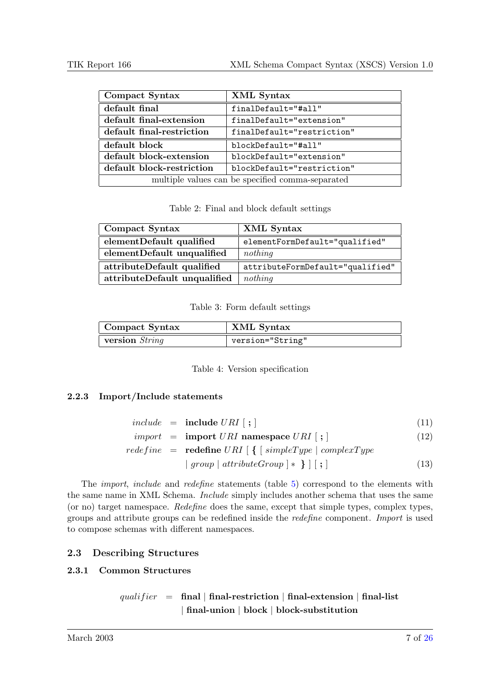<span id="page-6-0"></span>

| Compact Syntax                                   | XML Syntax                 |  |
|--------------------------------------------------|----------------------------|--|
| default final                                    | finalDefault="#all"        |  |
| default final-extension                          | finalDefault="extension"   |  |
| default final-restriction                        | finalDefault="restriction" |  |
| default block                                    | blockDefault="#all"        |  |
| default block-extension                          | blockDefault="extension"   |  |
| default block-restriction                        | blockDefault="restriction" |  |
| multiple values can be specified comma-separated |                            |  |

Table 2: Final and block default settings

| Compact Syntax               | XML Syntax                       |
|------------------------------|----------------------------------|
| elementDefault qualified     | elementFormDefault="qualified"   |
| elementDefault unqualified   | nothing                          |
| attributeDefault qualified   | attributeFormDefault="qualified" |
| attributeDefault unqualified | nothing                          |

Table 3: Form default settings

| Compact Syntax | XML Syntax       |
|----------------|------------------|
| version String | version="String" |

Table 4: Version specification

# 2.2.3 Import/Include statements

|  | $include \quad = \quad \textbf{include} \; URI \; [~;~]$ | (11) |  |
|--|----------------------------------------------------------|------|--|
|  |                                                          |      |  |

$$
import = import \text{ } URI \text{ namespace } URI \text{ } [ ; ] \tag{12}
$$

$$
redefine = \textbf{redefine} \, URI \, [\, \{ \, [\, simpleType \,] \, complexType
$$
\n
$$
| \, group \, | \, attributeGroup \,] * \, \} \, ] \, [\, ; \,]
$$
\n
$$
(13)
$$

The import, include and redefine statements (table [5\)](#page-7-0) correspond to the elements with the same name in XML Schema. Include simply includes another schema that uses the same (or no) target namespace. Redefine does the same, except that simple types, complex types, groups and attribute groups can be redefined inside the redefine component. Import is used to compose schemas with different namespaces.

# 2.3 Describing Structures

# 2.3.1 Common Structures

# qualifier = final | final-restriction | final-extension | final-list | final-union | block | block-substitution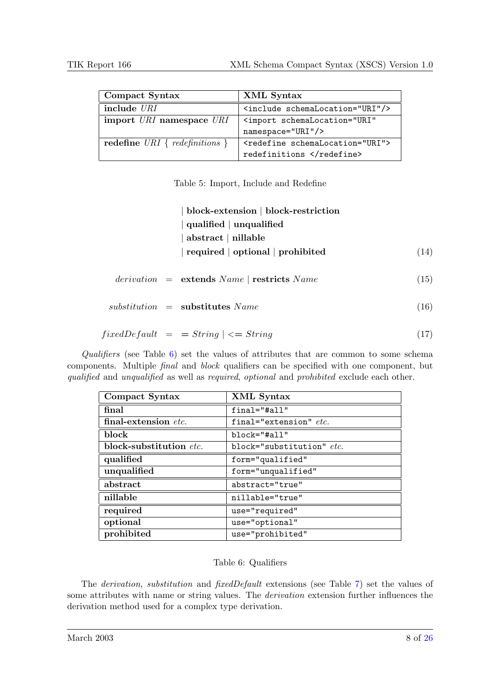<span id="page-7-0"></span>

| Compact Syntax                   | XML Syntax                                        |
|----------------------------------|---------------------------------------------------|
| include URI                      | <include schemalocation="URI"></include>          |
| import URI namespace URI         | <import <="" schemalocation="URI" th=""></import> |
|                                  | namespace="URI"/>                                 |
| redefine URI { $redefinitions$ } | <redefine schemalocation="URI"></redefine>        |
|                                  | redefinitions                                     |

Table 5: Import, Include and Redefine

|  | block-extension   block-restriction                  |      |
|--|------------------------------------------------------|------|
|  | qualified $\vert$ unqualified                        |      |
|  | $abstructor \nvert$ nillable                         |      |
|  | $\vert$ required $\vert$ optional $\vert$ prohibited | (14) |
|  |                                                      |      |
|  | $derivation = extends Name   restricts Name$         | (15) |
|  |                                                      |      |
|  | $substitution =$ substitutes Name                    | (16) |
|  |                                                      |      |
|  | $fixedDefault = String \mid \leq String$             | (17) |

Qualifiers (see Table  $6$ ) set the values of attributes that are common to some schema components. Multiple final and block qualifiers can be specified with one component, but qualified and unqualified as well as required, optional and prohibited exclude each other.

| Compact Syntax          | XML Syntax                |
|-------------------------|---------------------------|
| final                   | final="#all"              |
| final-extension etc.    | final="extension" $etc.$  |
| block                   | $block='Hail'$            |
| block-substitution etc. | block="substitution" etc. |
| qualified               | form="qualified"          |
| unqualified             | form="unqualified"        |
| abstract                | abstract="true"           |
| nillable                | nillable="true"           |
| required                | use="required"            |
| optional                | use="optional"            |
| prohibited              | use="prohibited"          |

# Table 6: Qualifiers

The derivation, substitution and fixedDefault extensions (see Table [7\)](#page-8-0) set the values of some attributes with name or string values. The derivation extension further influences the derivation method used for a complex type derivation.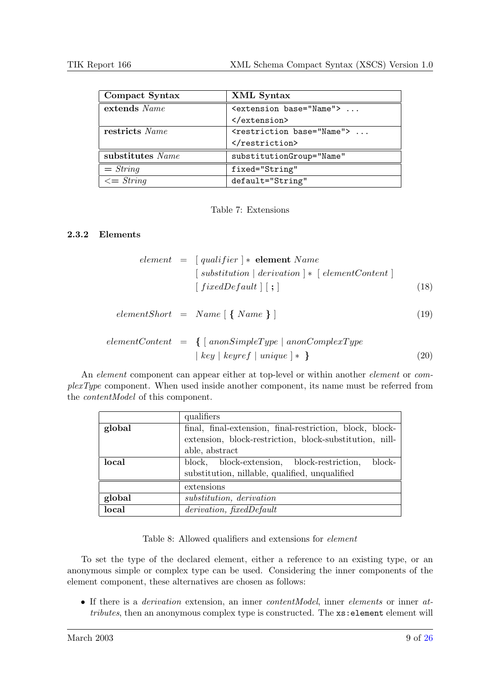<span id="page-8-0"></span>

| Compact Syntax   | XML Syntax                               |
|------------------|------------------------------------------|
| extends Name     | <extension base="Name"> </extension>     |
|                  |                                          |
| restricts Name   | <restriction base="Name"> </restriction> |
|                  |                                          |
| substitutes Name | substitutionGroup="Name"                 |
| $= String$       | fixed="String"                           |
| $\leq$ String    | default="String"                         |

Table 7: Extensions

## 2.3.2 Elements

$$
element = [qualifier] * element Name
$$
  
\n
$$
[substitution | derivation] * [elementContent]
$$
  
\n
$$
[fixedDefault] [ ; ]
$$
  
\n(18)

$$
elementShort = Name [\{ Name \}]
$$
\n
$$
(19)
$$

$$
elementContent = \{ [anonSimpleType | a nonComplexType
$$
  
 
$$
| key | keyref | unique | * \}
$$
 (20)

An *element* component can appear either at top-level or within another *element* or *com*plexType component. When used inside another component, its name must be referred from the contentModel of this component.

|        | qualifiers                                               |
|--------|----------------------------------------------------------|
| global | final, final-extension, final-restriction, block, block- |
|        | extension, block-restriction, block-substitution, nill-  |
|        | able, abstract                                           |
| local  | block-<br>block, block-extension, block-restriction,     |
|        | substitution, nillable, qualified, unqualified           |
|        | extensions                                               |
| global | substitution, derivation                                 |
| local  | derivation, fixedDefault                                 |

Table 8: Allowed qualifiers and extensions for element

To set the type of the declared element, either a reference to an existing type, or an anonymous simple or complex type can be used. Considering the inner components of the element component, these alternatives are chosen as follows:

• If there is a *derivation* extension, an inner *contentModel*, inner *elements* or inner *at*tributes, then an anonymous complex type is constructed. The  $xs$ : element element will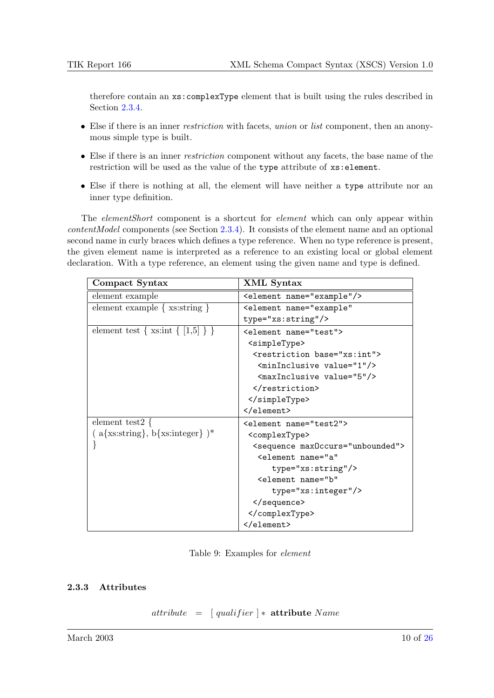therefore contain an xs:complexType element that is built using the rules described in Section [2.3.4.](#page-10-0)

- Else if there is an inner *restriction* with facets, union or list component, then an anonymous simple type is built.
- Else if there is an inner restriction component without any facets, the base name of the restriction will be used as the value of the type attribute of xs:element.
- Else if there is nothing at all, the element will have neither a type attribute nor an inner type definition.

The *elementShort* component is a shortcut for *element* which can only appear within  $contentModel$  components (see Section [2.3.4\)](#page-10-0). It consists of the element name and an optional second name in curly braces which defines a type reference. When no type reference is present, the given element name is interpreted as a reference to an existing local or global element declaration. With a type reference, an element using the given name and type is defined.

| Compact Syntax                                   | XML Syntax                                    |
|--------------------------------------------------|-----------------------------------------------|
| element example                                  | <element name="example"></element>            |
| element example $\{xs:string\}$                  | <element <="" name="example" td=""></element> |
|                                                  | type="xs:string"/>                            |
| element test { $xs:int \{ [1,5] \}$ }            | <element name="test"></element>               |
|                                                  | <simpletype></simpletype>                     |
|                                                  | <restriction base="xs:int"></restriction>     |
|                                                  | <mininclusive value="1"></mininclusive>       |
|                                                  | <maxinclusive value="5"></maxinclusive>       |
|                                                  |                                               |
|                                                  |                                               |
|                                                  |                                               |
| element test2 $\{$                               | <element name="test2"></element>              |
| $(a$ {xs:string}, b{xs:integer} $)$ <sup>*</sup> | <complextype></complextype>                   |
|                                                  | <sequence max0ccurs="unbounded"></sequence>   |
|                                                  | <element <="" name="a" td=""></element>       |
|                                                  | type="xs:string"/>                            |
|                                                  | <element <="" name="b" td=""></element>       |
|                                                  | $type="xs:integer"/>$                         |
|                                                  |                                               |
|                                                  |                                               |
|                                                  |                                               |

Table 9: Examples for element

### 2.3.3 Attributes

 $attribute = [qualifier] * attribute Name$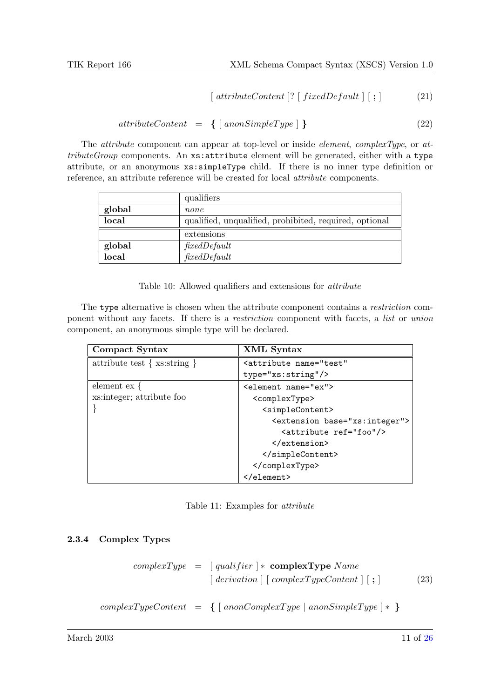$$
[attributeContent ]? [fixedDefault ] [ ; ] \qquad (21)
$$

$$
attributeContent = \{ [anonSimpleType] \} \qquad (22)
$$

<span id="page-10-0"></span>The *attribute* component can appear at top-level or inside *element*, *complexType*, or *at* $tributeGroup$  components. An xs: attribute element will be generated, either with a type attribute, or an anonymous xs:simpleType child. If there is no inner type definition or reference, an attribute reference will be created for local attribute components.

|        | qualifiers                                             |
|--------|--------------------------------------------------------|
| global | none                                                   |
| local  | qualified, unqualified, prohibited, required, optional |
|        | extensions                                             |
| global | fixedDefault                                           |
| local  | fixedDefault                                           |

Table 10: Allowed qualifiers and extensions for attribute

The type alternative is chosen when the attribute component contains a *restriction* component without any facets. If there is a restriction component with facets, a list or union component, an anonymous simple type will be declared.

| Compact Syntax                 | XML Syntax                                     |
|--------------------------------|------------------------------------------------|
| attribute test $\{xs:string\}$ | <attribute <="" name="test" td=""></attribute> |
|                                | type="xs:string"/>                             |
| element $ex \}$                | <element name="ex"></element>                  |
| xs: integer; attribute foo     | <complextype></complextype>                    |
|                                | <simplecontent></simplecontent>                |
|                                | <extension base="xs:integer"></extension>      |
|                                | <attribute ref="foo"></attribute>              |
|                                | $\langle$ /extension>                          |
|                                |                                                |
|                                |                                                |
|                                |                                                |

Table 11: Examples for attribute

### 2.3.4 Complex Types

$$
complexType = [qualifier] * complexType Name
$$
  
\n
$$
[derivation] [complexTypeContent] [ ; ]
$$
\n
$$
complexTypeContent = \{ [anonComplexType] \text{ a nonSimpleType}] * \}
$$
\n(23)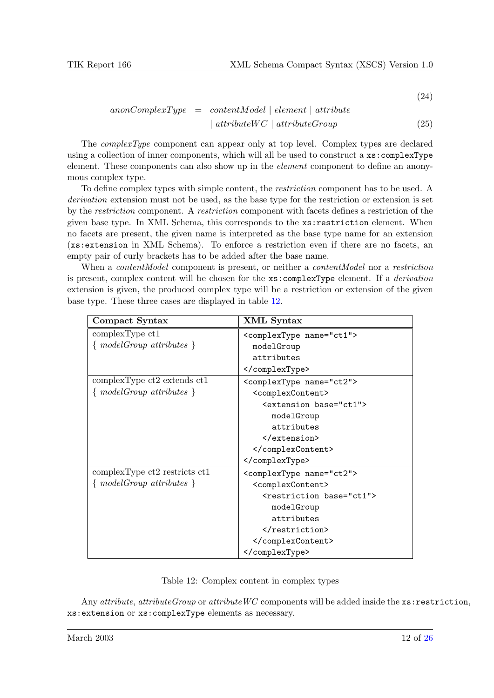(24)

$$
anonComplexType = contentModel \mid element \mid attribute
$$
  

$$
\mid attributeWC \mid attributeGroup
$$
 (25)

The complexType component can appear only at top level. Complex types are declared using a collection of inner components, which will all be used to construct a xs:complexType element. These components can also show up in the *element* component to define an anonymous complex type.

To define complex types with simple content, the restriction component has to be used. A derivation extension must not be used, as the base type for the restriction or extension is set by the restriction component. A restriction component with facets defines a restriction of the given base type. In XML Schema, this corresponds to the xs:restriction element. When no facets are present, the given name is interpreted as the base type name for an extension (xs:extension in XML Schema). To enforce a restriction even if there are no facets, an empty pair of curly brackets has to be added after the base name.

When a *contentModel* component is present, or neither a *contentModel* nor a restriction is present, complex content will be chosen for the xs:complexType element. If a derivation extension is given, the produced complex type will be a restriction or extension of the given base type. These three cases are displayed in table 12.

| Compact Syntax                 | XML Syntax                             |
|--------------------------------|----------------------------------------|
| complexType <sub>ct1</sub>     | <complextype name="ct1"></complextype> |
| $\{modelGroup \ attributes \}$ | modelGroup                             |
|                                | attributes                             |
|                                |                                        |
| complexType ct2 extends ct1    | <complextype name="ct2"></complextype> |
| $\{modelGroup \ attributes \}$ | <complexcontent></complexcontent>      |
|                                | <extension base="ct1"></extension>     |
|                                | modelGroup                             |
|                                | attributes                             |
|                                |                                        |
|                                |                                        |
|                                |                                        |
| complexType ct2 restricts ct1  | <complextype name="ct2"></complextype> |
| $\{modelGroup \ attributes \}$ | <complexcontent></complexcontent>      |
|                                | <restriction base="ct1"></restriction> |
|                                | modelGroup                             |
|                                | attributes                             |
|                                |                                        |
|                                |                                        |
|                                |                                        |

Table 12: Complex content in complex types

Any attribute, attribute Group or attribute WC components will be added inside the  $xs:restriction,$ xs:extension or xs:complexType elements as necessary.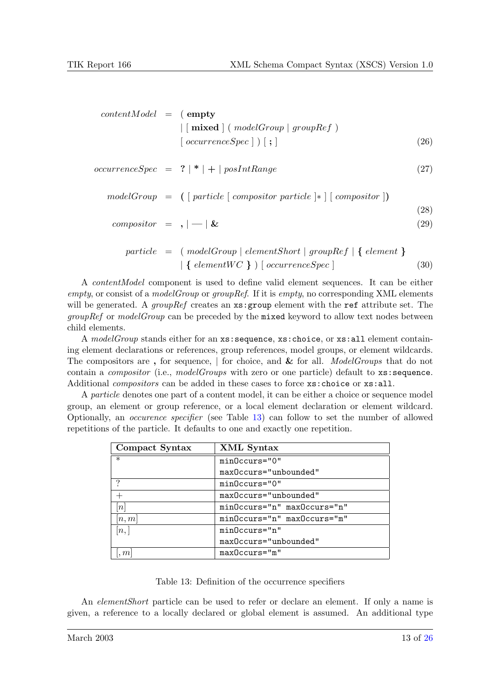| $contentModel = (empty$   |                                                                      |      |
|---------------------------|----------------------------------------------------------------------|------|
|                           | $\vert$ [mixed ] (modelGroup   groupRef)                             |      |
|                           | $\lceil occurrenceSpec \rceil$ ) $\lceil ; \rceil$                   | (26) |
|                           | $occurrenceSpec = ? \mid * \mid + \mid posIntRange$                  | (27) |
|                           | $modelGroup = ( [particle [composition particle] * [ (composition])$ | (28) |
| $composition = ,  -   \&$ |                                                                      | (29) |
|                           | $particle = (modelGroup   elementShort   groupRef   { element } )$   |      |
|                           | $\{ elementWC \}$ ) $\{ occurrenceSpec \}$                           | (30) |

A contentModel component is used to define valid element sequences. It can be either empty, or consist of a model Group or group Ref. If it is empty, no corresponding XML elements will be generated. A group Ref creates an  $xs:$  group element with the ref attribute set. The groupRef or modelGroup can be preceded by the mixed keyword to allow text nodes between child elements.

A modelGroup stands either for an xs:sequence, xs:choice, or xs:all element containing element declarations or references, group references, model groups, or element wildcards. The compositors are, for sequence, for choice, and  $\&$  for all. ModelGroups that do not contain a *compositor* (i.e., *modelGroups* with zero or one particle) default to xs: sequence. Additional *compositors* can be added in these cases to force  $xs:choice$  or  $xs:all.$ 

A particle denotes one part of a content model, it can be either a choice or sequence model group, an element or group reference, or a local element declaration or element wildcard. Optionally, an occurence specifier (see Table 13) can follow to set the number of allowed repetitions of the particle. It defaults to one and exactly one repetition.

| Compact Syntax | XML Syntax                  |
|----------------|-----------------------------|
| $\ast$         | $minOccurs = "0"$           |
|                | maxOccurs="unbounded"       |
| ?              | minOccurs="0"               |
|                | maxOccurs="unbounded"       |
| n              | minOccurs="n" maxOccurs="n" |
| n,m            | minOccurs="n" maxOccurs="m" |
| n,             | $minOccurs="n"$             |
|                | maxOccurs="unbounded"       |
| m              | $maxOccurs="m"$             |

Table 13: Definition of the occurrence specifiers

An *elementShort* particle can be used to refer or declare an element. If only a name is given, a reference to a locally declared or global element is assumed. An additional type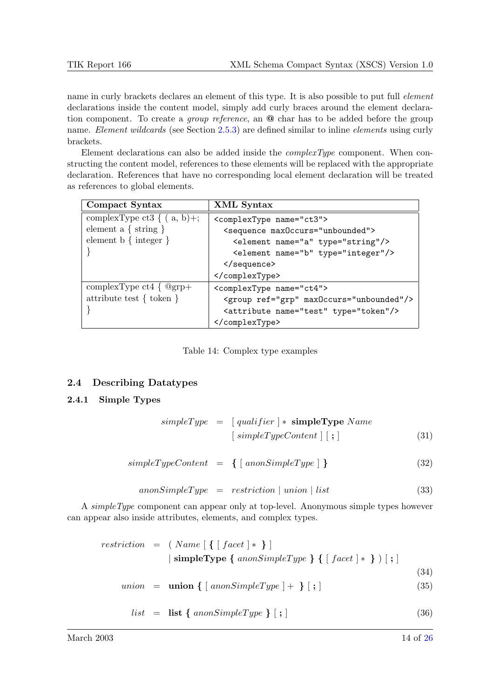<span id="page-13-0"></span>name in curly brackets declares an element of this type. It is also possible to put full *element* declarations inside the content model, simply add curly braces around the element declaration component. To create a *group reference*, an  $\omega$  char has to be added before the group name. Element wildcards (see Section [2.5.3\)](#page-17-0) are defined similar to inline *elements* using curly brackets.

Element declarations can also be added inside the  $complexType$  component. When constructing the content model, references to these elements will be replaced with the appropriate declaration. References that have no corresponding local element declaration will be treated as references to global elements.

| Compact Syntax                   | XML Syntax                                       |
|----------------------------------|--------------------------------------------------|
| complexType ct3 $\{ (a, b) +;$   | <complextype name="ct3"></complextype>           |
| element a $\{ \text{string } \}$ | <sequence max0ccurs="unbounded"></sequence>      |
| element $b \{ integer \}$        | <element name="a" type="string"></element>       |
|                                  | <element name="b" type="integer"></element>      |
|                                  | $\langle$ sequence>                              |
|                                  |                                                  |
| complexType ct4 $\{$ @grp+       | <complextype name="ct4"></complextype>           |
| attribute test $\{$ token $\}$   | <group max0ccurs="unbounded" ref="grp"></group>  |
|                                  | <attribute name="test" type="token"></attribute> |
|                                  |                                                  |

#### 2.4 Describing Datatypes

#### 2.4.1 Simple Types

|  | $simpleType = [qualifier] * simpleType Name$            |      |
|--|---------------------------------------------------------|------|
|  | $\lceil$ simpleTypeContent $\rceil$ $\lceil$ ; $\rceil$ | (31) |

$$
simpleTypeContent = \{ [anonSimpleType] \} \qquad (32)
$$

$$
an on SimpleType = restriction \mid union \mid list
$$
\n(33)

A simpleType component can appear only at top-level. Anonymous simple types however can appear also inside attributes, elements, and complex types.

$$
restriction = (Name [ \{ [ facet ] * \} ]
$$
\n
$$
| \text{ simpleType } \{ \text{ a nonSimpleType } \} \{ [ facet ] * \} ) [ ; ]
$$
\n
$$
union = union \{ [ \text{ a nonSimpleType }] + \} [ ; ]
$$
\n
$$
list = list \{ \text{ a nonSimpleType } \} [ ; ]
$$
\n(36)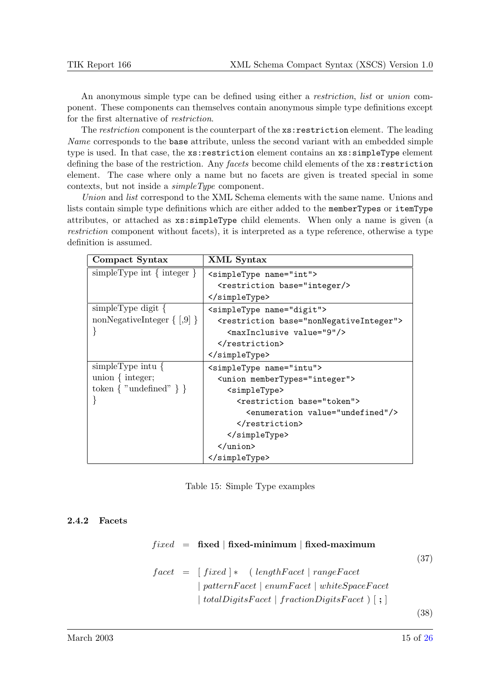An anonymous simple type can be defined using either a *restriction*, *list* or *union* component. These components can themselves contain anonymous simple type definitions except for the first alternative of restriction.

The restriction component is the counterpart of the  $\texttt{xs:restriction}$  element. The leading Name corresponds to the base attribute, unless the second variant with an embedded simple type is used. In that case, the xs:restriction element contains an xs:simpleType element defining the base of the restriction. Any facets become child elements of the xs:restriction element. The case where only a name but no facets are given is treated special in some contexts, but not inside a simpleType component.

Union and list correspond to the XML Schema elements with the same name. Unions and lists contain simple type definitions which are either added to the memberTypes or itemType attributes, or attached as xs:simpleType child elements. When only a name is given (a restriction component without facets), it is interpreted as a type reference, otherwise a type definition is assumed.

| Compact Syntax                    | XML Syntax                                                                                                                                                                                                                                                               |
|-----------------------------------|--------------------------------------------------------------------------------------------------------------------------------------------------------------------------------------------------------------------------------------------------------------------------|
| simpleType int $\{$ integer $\}$  | <simpletype name="int"></simpletype>                                                                                                                                                                                                                                     |
|                                   | <restriction base="integer/&gt;&lt;/th&gt;&lt;/tr&gt;&lt;tr&gt;&lt;th&gt;&lt;/th&gt;&lt;th&gt;&lt;/simpleType&gt;&lt;/th&gt;&lt;/tr&gt;&lt;tr&gt;&lt;th&gt;&lt;math&gt;simpleType digit\&lt;/math&gt;&lt;/th&gt;&lt;th&gt;&lt;simpleType name=" digit"=""></restriction> |
| nonNegativeInteger $\{ [0, 9] \}$ | <restriction base="nonNegativeInteger"></restriction>                                                                                                                                                                                                                    |
|                                   | <maxinclusive value="9"></maxinclusive>                                                                                                                                                                                                                                  |
|                                   |                                                                                                                                                                                                                                                                          |
|                                   |                                                                                                                                                                                                                                                                          |
| simpleType intu $\{$              | <simpletype name="intu"></simpletype>                                                                                                                                                                                                                                    |
| union $\{$ integer;               | <union membertypes="integer"></union>                                                                                                                                                                                                                                    |
| token $\{$ "undefined" $\}$ }     | <simpletype></simpletype>                                                                                                                                                                                                                                                |
|                                   | <restriction base="token"></restriction>                                                                                                                                                                                                                                 |
|                                   | <enumeration value="undefined"></enumeration>                                                                                                                                                                                                                            |
|                                   |                                                                                                                                                                                                                                                                          |
|                                   |                                                                                                                                                                                                                                                                          |
|                                   | $\langle$ /union>                                                                                                                                                                                                                                                        |
|                                   |                                                                                                                                                                                                                                                                          |

Table 15: Simple Type examples

# 2.4.2 Facets

| $fixed$ = fixed   fixed-minimum   fixed-maximum          |      |
|----------------------------------------------------------|------|
|                                                          | (37) |
| $facet = [fixed] * (lengthFace   rangeFace$              |      |
| $\mid patternFacet \mid enumFacet \mid whiteSpaceFacet$  |      |
| totalDigitsFacet   fractionDigitsFacet $  \cdot  $ ; $ $ |      |
|                                                          | 38)  |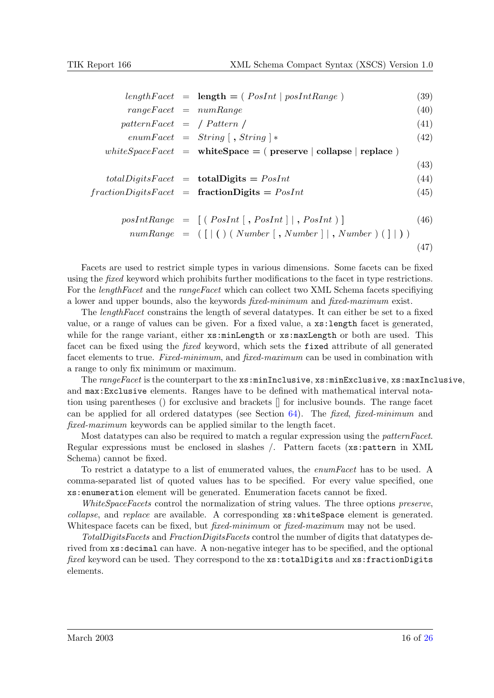|                             | $lengthFace t = length = (PosInt   posIntRange)$                     | (39) |
|-----------------------------|----------------------------------------------------------------------|------|
| $rangeFace = numRange$      |                                                                      | (40) |
| $patternFacet = /Pattern /$ |                                                                      | (41) |
|                             | $enumFacet = String [$ , $String$ $]*$                               | (42) |
|                             | white $SpaceFace$ = white $Space$ = (preserve   collapse   replace ) |      |
|                             |                                                                      | (43) |
|                             | $totalDigitsFace_t = totalDigits = PosInt$                           | (44) |
|                             | $fraction DigitsFace t = fraction Digits = PosInt$                   | (45) |
|                             |                                                                      |      |

$$
posIntRange = [(PosInt[, PosInt]], PosInt)] \qquad (46)
$$

$$
numRange = (\ [ \ ] \ ( \ ) \ ( \ Number \ [ \ , \ Number \ ] \ ], \ Number \ ) \ ( \ ] \ | \ )
$$

(47)

Facets are used to restrict simple types in various dimensions. Some facets can be fixed using the *fixed* keyword which prohibits further modifications to the facet in type restrictions. For the *lengthFacet* and the rangeFacet which can collect two XML Schema facets specifiying a lower and upper bounds, also the keywords fixed-minimum and fixed-maximum exist.

The *lengthFacet* constrains the length of several datatypes. It can either be set to a fixed value, or a range of values can be given. For a fixed value, a xs:length facet is generated, while for the range variant, either  $xs:minLength$  or  $xs:maxLength$  or both are used. This facet can be fixed using the fixed keyword, which sets the fixed attribute of all generated facet elements to true. Fixed-minimum, and fixed-maximum can be used in combination with a range to only fix minimum or maximum.

The rangeFacet is the counterpart to the xs:minInclusive, xs:minExclusive, xs:maxInclusive, and max:Exclusive elements. Ranges have to be defined with mathematical interval notation using parentheses () for exclusive and brackets [] for inclusive bounds. The range facet can be applied for all ordered datatypes (see Section  $64$ ). The fixed, fixed-minimum and fixed-maximum keywords can be applied similar to the length facet.

Most datatypes can also be required to match a regular expression using the patternFacet. Regular expressions must be enclosed in slashes /. Pattern facets (xs:pattern in XML Schema) cannot be fixed.

To restrict a datatype to a list of enumerated values, the enumFacet has to be used. A comma-separated list of quoted values has to be specified. For every value specified, one xs:enumeration element will be generated. Enumeration facets cannot be fixed.

WhiteSpaceFacets control the normalization of string values. The three options preserve, collapse, and replace are available. A corresponding  $xs:whiteSpace$  element is generated. Whitespace facets can be fixed, but *fixed-minimum* or *fixed-maximum* may not be used.

TotalDigitsFacets and FractionDigitsFacets control the number of digits that datatypes derived from xs:decimal can have. A non-negative integer has to be specified, and the optional fixed keyword can be used. They correspond to the xs:totalDigits and xs:fractionDigits elements.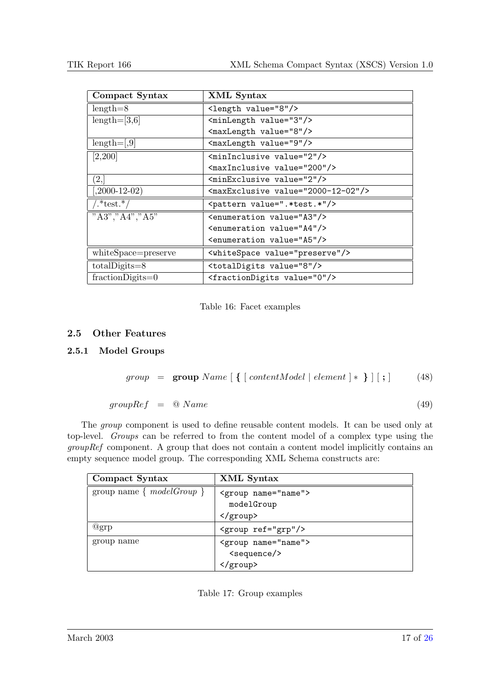<span id="page-16-0"></span>

| Compact Syntax      | XML Syntax                                       |  |  |
|---------------------|--------------------------------------------------|--|--|
| $length=8$          | <length value="8"></length>                      |  |  |
| $length=[3,6]$      | <minlength value="3"></minlength>                |  |  |
|                     | <maxlength value="8"></maxlength>                |  |  |
| $length=[,9]$       | <maxlength value="9"></maxlength>                |  |  |
| [2,200]             | <mininclusive value="2"></mininclusive>          |  |  |
|                     | <maxinclusive value="200"></maxinclusive>        |  |  |
| (2,                 | <minexclusive value="2"></minexclusive>          |  |  |
| $(2000-12-02)$      | <maxexclusive value="2000-12-02"></maxexclusive> |  |  |
| $/.*$ test. $*/$    | <pattern value=".*test.*"></pattern>             |  |  |
| "A3", "A4", "A5"    | <enumeration value="A3"></enumeration>           |  |  |
|                     | <enumeration value="A4"></enumeration>           |  |  |
|                     | <enumeration value="A5"></enumeration>           |  |  |
| whiteSpace=preserve | <whitespace value="preserve"></whitespace>       |  |  |
| $totalDigits = 8$   | <totaldigits value="8"></totaldigits>            |  |  |
| $fraction$ Digits=0 | <fractiondigits value="0"></fractiondigits>      |  |  |

Table 16: Facet examples

# 2.5 Other Features

# 2.5.1 Model Groups

$$
group = \textbf{group Name} \text{ } [\text{ } \{ \text{ } [contentModel \text{ } | \text{ } element \text{ } ]* \text{ } } ] \text{ } [\text{ } ; ] \text{ } (48)
$$

 $groupRef = \textcircled{a} Name$  (49)

The *group* component is used to define reusable content models. It can be used only at top-level. Groups can be referred to from the content model of a complex type using the groupRef component. A group that does not contain a content model implicitly contains an empty sequence model group. The corresponding XML Schema constructs are:

| Compact Syntax              | XML Syntax                  |  |
|-----------------------------|-----------------------------|--|
| group name $\{modelGroup\}$ | <group name="name"></group> |  |
|                             | modelGroup                  |  |
|                             |                             |  |
| @grp                        | <group ref="grp"></group>   |  |
| group name                  | <group name="name"></group> |  |
|                             | <sequence></sequence>       |  |
|                             |                             |  |

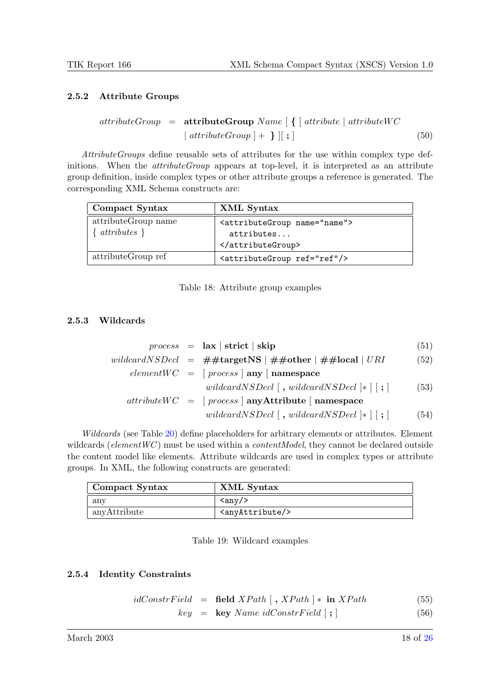### <span id="page-17-0"></span>2.5.2 Attribute Groups

$$
attributeGroup = attributeGroupName [\{ [attribute | attributeWC | attributeGroup ] + \}] [ ; ]
$$
 (50)

AttributeGroups define reusable sets of attributes for the use within complex type definitions. When the *attributeGroup* appears at top-level, it is interpreted as an attribute group definition, inside complex types or other attribute groups a reference is generated. The corresponding XML Schema constructs are:

| Compact Syntax                        | XML Syntax                                                        |
|---------------------------------------|-------------------------------------------------------------------|
| attributeGroup name<br>$attributes$ } | <attributegroup name="name"><br/>attributes<br/></attributegroup> |
| attributeGroup ref                    | <attributegroup ref="ref"></attributegroup>                       |

Table 18: Attribute group examples

#### 2.5.3 Wildcards

|  | $process = \mathbf{ax}   \mathbf{strict}   \mathbf{skip}$                 | (51) |
|--|---------------------------------------------------------------------------|------|
|  | wildcardNSDecl = $\#$ #targetNS   $\#$ #other   $\#$ #local   URI         | (52) |
|  | $elementWC = [process \mid any \mid namespace$                            |      |
|  | wildcardNSDecl $\lceil$ , wildcardNSDecl $\lceil$ , $\rceil$              | (53) |
|  | $attributeWC = [process   anyAttribute   namespace$                       |      |
|  | wildcardNSDecl $\vert$ , wildcardNSDecl $\vert * \vert$ $\vert$ ; $\vert$ | (54) |

Wildcards (see Table [20\)](#page-18-0) define placeholders for arbitrary elements or attributes. Element wildcards ( $elementWC$ ) must be used within a *contentModel*, they cannot be declared outside the content model like elements. Attribute wildcards are used in complex types or attribute groups. In XML, the following constructs are generated:

| Compact Syntax          | XML Syntax                    |  |
|-------------------------|-------------------------------|--|
| $\mathop{\mathrm{any}}$ | $\langle \text{any} \rangle$  |  |
| anyAttribute            | <anyattribute></anyattribute> |  |

Table 19: Wildcard examples

### 2.5.4 Identity Constraints

$$
idConstructField = field XPath [, XPath] * in XPath
$$
\n
$$
(55)
$$
\n
$$
(56)
$$

 $key = \text{key Name } idConstruct[i]$  (56)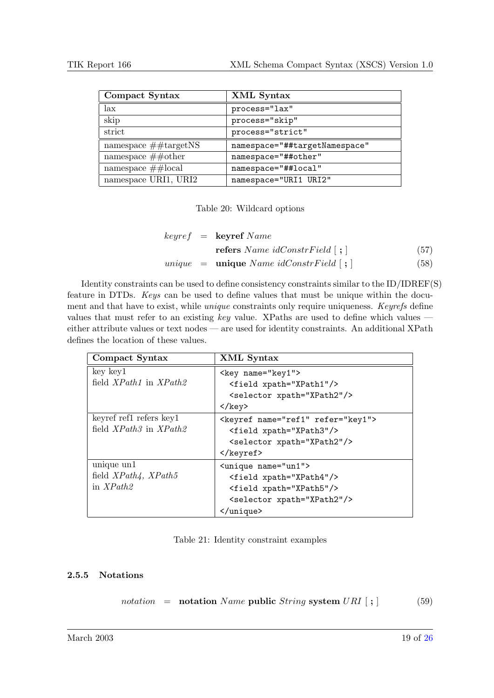<span id="page-18-0"></span>

| Compact Syntax               | XML Syntax                    |
|------------------------------|-------------------------------|
| lax                          | process="lax"                 |
| skip                         | process="skip"                |
| strict                       | process="strict"              |
| namespace $\#$ #targetNS     | namespace="##targetNamespace" |
| namespace $\#\#$ other       | namespace="##other"           |
| namespace $\#\text{\#local}$ | namespace="##local"           |
| namespace URI1, URI2         | namespace="URI1 URI2"         |

Table 20: Wildcard options

$$
keyref = keyref Name
$$
  
refers Name  $i dConstrField ~[ ; ]$  (57)  

$$
unique = unique Name  $i dConstrField ~[ ; ]$  (58)
$$

Identity constraints can be used to define consistency constraints similar to the ID/IDREF(S) feature in DTDs. Keys can be used to define values that must be unique within the document and that have to exist, while unique constraints only require uniqueness. Keyrefs define values that must refer to an existing key value. XPaths are used to define which values  $$ either attribute values or text nodes — are used for identity constraints. An additional XPath defines the location of these values.

| Compact Syntax             | XML Syntax                                 |
|----------------------------|--------------------------------------------|
| key key1                   | <key name="key1"></key>                    |
| field $XPath1$ in $XPath2$ | <field xpath="XPath1"></field>             |
|                            | <selector xpath="XPath2"></selector>       |
|                            | $\langle$ /key>                            |
| keyref ref1 refers key1    | <keyref name="ref1" refer="key1"></keyref> |
| field $XPath3$ in $XPath2$ | <field xpath="XPath3"></field>             |
|                            | <selector xpath="XPath2"></selector>       |
|                            | $\langle$ /keyref>                         |
| unique un1                 | <unique name="un1"></unique>               |
| field $XPath4$ , $XPath5$  | <field xpath="XPath4"></field>             |
| in $XPath2$                | <field xpath="XPath5"></field>             |
|                            | <selector xpath="XPath2"></selector>       |
|                            |                                            |

### 2.5.5 Notations

|  | <i>notation</i> = <b>notation</b> Name <b>public</b> String system $URI$ [; ] | (59) |
|--|-------------------------------------------------------------------------------|------|
|  |                                                                               |      |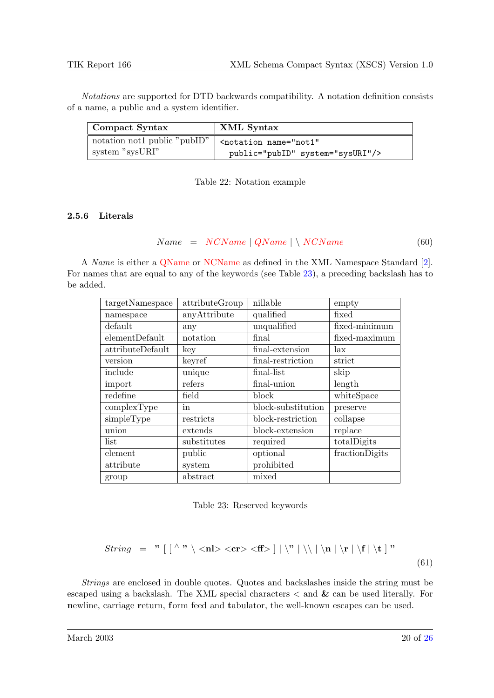<span id="page-19-0"></span>Notations are supported for DTD backwards compatibility. A notation definition consists of a name, a public and a system identifier.

| Compact Syntax                 | XML Syntax                                   |  |
|--------------------------------|----------------------------------------------|--|
| notation not 1 public "public" | <notation <="" name="not1" td=""></notation> |  |
| system "sysURI"                | public="pubID" system="sysURI"/>             |  |

Table 22: Notation example

### 2.5.6 Literals

 $Name = NCName | QName | \ NCName$  (60)

A Name is either a [QName](http://www.w3.org/TR/REC-xml-names/#NT-QName) or [NCName](http://www.w3.org/TR/REC-xml-names/#NT-NCName) as defined in the XML Namespace Standard [\[2\]](#page-25-0). For names that are equal to any of the keywords (see Table 23), a preceding backslash has to be added.

| targetNamespace  | attributeGroup | nillable           | empty          |
|------------------|----------------|--------------------|----------------|
| namespace        | anyAttribute   | qualified          | fixed          |
| default          | any            | unqualified        | fixed-minimum  |
| elementDefault   | notation       | final              | fixed-maximum  |
| attributeDefault | key            | final-extension    | lax            |
| version          | keyref         | final-restriction  | strict         |
| include          | unique         | final-list         | skip           |
| import           | refers         | final-union        | length         |
| redefine         | field          | block              | whiteSpace     |
| complexType      | in             | block-substitution | preserve       |
| simpleType       | restricts      | block-restriction  | collapse       |
| union            | extends        | block-extension    | replace        |
| list             | substitutes    | required           | totalDigits    |
| element          | public         | optional           | fractionDigits |
| attribute        | system         | prohibited         |                |
| group            | abstract       | mixed              |                |

Table 23: Reserved keywords

$$
String = "\left[\left.\begin{array}{c} \wedge \mathbf{m} \\ & \wedge \mathbf{m} \end{array}\right] |\mathbf{m}|\mathbf{n}|\mathbf{n}|\mathbf{t}|\mathbf{t}"
$$
\n(61)

Strings are enclosed in double quotes. Quotes and backslashes inside the string must be escaped using a backslash. The XML special characters  $\lt$  and  $\&$  can be used literally. For newline, carriage return, form feed and tabulator, the well-known escapes can be used.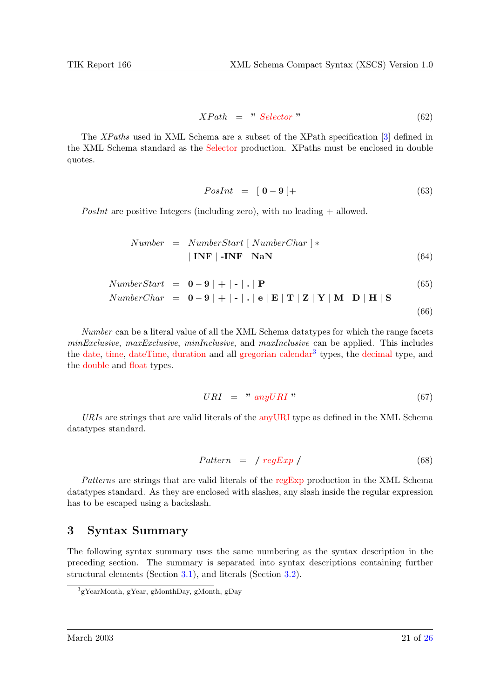$$
XPath = "Selector" \t\t(62)
$$

<span id="page-20-0"></span>The XPaths used in XML Schema are a subset of the XPath specification [\[3\]](#page-25-0) defined in the XML Schema standard as the [Selector](http://www.w3.org/TR/xmlschema-1/#c-selector-xpath) production. XPaths must be enclosed in double quotes.

$$
PosInt = \begin{bmatrix} 0 - 9 \end{bmatrix} + \tag{63}
$$

PosInt are positive Integers (including zero), with no leading  $+$  allowed.

$$
Number = NumberStart [NumberChar] *| INF | - INF | NaN
$$
\n(64)

NumberStart = 
$$
\mathbf{0} - \mathbf{9} | + | - | \cdot | \mathbf{P}
$$
 (65)  
\nNumberChar =  $\mathbf{0} - \mathbf{9} | + | - | \cdot | \mathbf{e} | \mathbf{E} | \mathbf{T} | \mathbf{Z} | \mathbf{Y} | \mathbf{M} | \mathbf{D} | \mathbf{H} | \mathbf{S}$  (66)

Number can be a literal value of all the XML Schema datatypes for which the range facets minExclusive, maxExclusive, minInclusive, and maxInclusive can be applied. This includes the [date,](http://www.w3.org/TR/xmlschema-2/#date) [time,](http://www.w3.org/TR/xmlschema-2/#time) [dateTime,](http://www.w3.org/TR/xmlschema-2/#dateTime) [duration](http://www.w3.org/TR/xmlschema-2/#duration) and all [gregorian calendar](http://www.w3.org/TR/xmlschema-2/#gDay)<sup>3</sup> types, the [decimal](http://www.w3.org/TR/xmlschema-2/#decimal) type, and the [double](http://www.w3.org/TR/xmlschema-2/#double) and [float](http://www.w3.org/TR/xmlschema-2/#float) types.

$$
URI = "anyURI" \t(67)
$$

 $URIs$  are strings that are valid literals of the any URI type as defined in the XML Schema datatypes standard.

$$
Pattern = / regExp / \tag{68}
$$

Patterns are strings that are valid literals of the [regExp](http://www.w3.org/TR/xmlschema-2/#regexs) production in the XML Schema datatypes standard. As they are enclosed with slashes, any slash inside the regular expression has to be escaped using a backslash.

# 3 Syntax Summary

The following syntax summary uses the same numbering as the syntax description in the preceding section. The summary is separated into syntax descriptions containing further structural elements (Section [3.1\)](#page-21-0), and literals (Section [3.2\)](#page-24-0).

<sup>3</sup> gYearMonth, gYear, gMonthDay, gMonth, gDay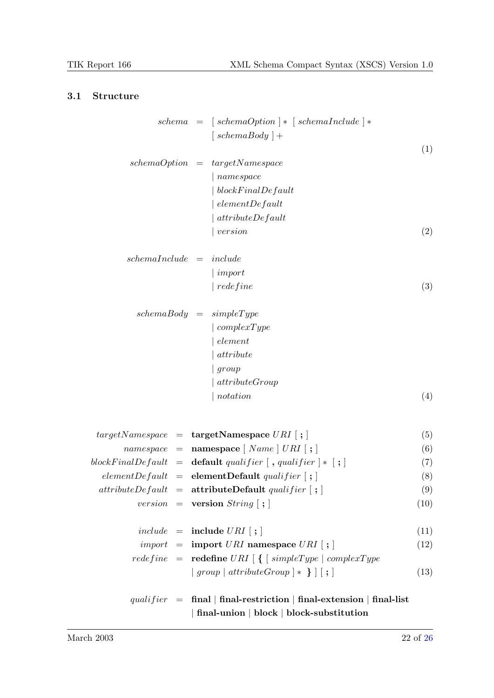# <span id="page-21-0"></span>3.1 Structure

|                            | schema | $=$ [schemaOption ] $*$ [schemaInclude ] $*$                                                                              |      |
|----------------------------|--------|---------------------------------------------------------------------------------------------------------------------------|------|
|                            |        | $\int \operatorname{cchem}(\operatorname{Body}) +$                                                                        |      |
|                            |        |                                                                                                                           | (1)  |
| $schemaOption =$           |        | targetName space                                                                                                          |      |
|                            |        | namespace                                                                                                                 |      |
|                            |        | blockFinalDefault                                                                                                         |      |
|                            |        | elementDefault                                                                                                            |      |
|                            |        | $attribute Default$                                                                                                       |      |
|                            |        | version                                                                                                                   | (2)  |
| $schemal nclude = include$ |        |                                                                                                                           |      |
|                            |        | import                                                                                                                    |      |
|                            |        | redefine                                                                                                                  | (3)  |
|                            |        | $schemaBody = simpleType$                                                                                                 |      |
|                            |        | complexType                                                                                                               |      |
|                            |        | element                                                                                                                   |      |
|                            |        | attribute                                                                                                                 |      |
|                            |        | group                                                                                                                     |      |
|                            |        | attributeGroup                                                                                                            |      |
|                            |        | notation                                                                                                                  | (4)  |
|                            |        |                                                                                                                           |      |
|                            |        | $targetNamespace = \text{targetNamespace} \text{ } URI \text{ }   \text{ } ; \text{ }$                                    | (5)  |
|                            |        | $namespace = \textbf{namespace} \mid Name \mid URL \mid ; \mid$                                                           | (6)  |
|                            |        |                                                                                                                           | (7)  |
|                            |        | $elementDefault = elementDefault\ quality[i]$                                                                             | (8)  |
|                            |        | $attributeDefault = attributeDefault$ qualifier $ \;;\;$                                                                  | (9)  |
|                            |        | <i>version</i> = <b>version</b> $String$   ;                                                                              | (10) |
|                            |        | $include \quad = \quad \textbf{include} \ \ URI \ [\ ; \ ]$                                                               | (11) |
|                            |        | $import = import \text{ } URI$ namespace $URI$ ;                                                                          | (12) |
|                            |        | $redefine = \textbf{redefine} \text{ } URI \text{ } [\text{ } \{ \text{ } [simpleType \text{ } ] \text{ } complexType \}$ |      |
|                            |        | $\mid group \mid attributeGroup \mid * \mid   \mid ; \mid$                                                                | (13) |
|                            |        | qualifier = final   final-restriction   final-extension   final-list                                                      |      |
|                            |        | final-union $\vert$ block $\vert$ block-substitution                                                                      |      |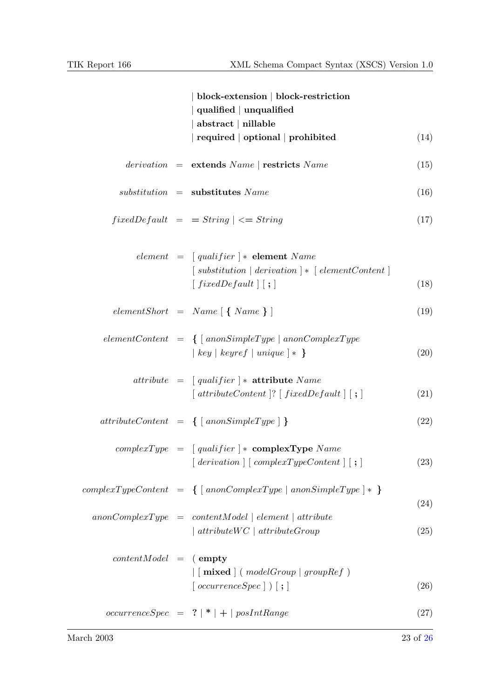|                         | block-extension   block-restriction<br>qualified $ $ unqualified<br>$abstructor \nvert$ nillable<br>required   optional   prohibited                                | (14) |
|-------------------------|---------------------------------------------------------------------------------------------------------------------------------------------------------------------|------|
|                         | $derivation = extends Name   restricts Name$                                                                                                                        | (15) |
|                         | $substitution =$ substitutes Name                                                                                                                                   | (16) |
|                         | $fixedDefault = String \mid \leq String$                                                                                                                            | (17) |
|                         | element = $\int$ qualifier $\vert * \vert$ element Name<br>$[ \; substitution \;   \; derivation \; ] * [ \; elementContent \; ]$<br>$\lceil fixedDefault \rceil$ ; | (18) |
|                         | $elementShort = Name \{ \} \$                                                                                                                                       | (19) |
|                         | $elementContent = \{ [ \;anonSimpleType \;   \;anonComplexType$<br>$\lceil key \rceil$ keyref $\lceil unique \rceil *$                                              | (20) |
|                         | $attribute = [qualifier] * attribute Name$<br>$\lceil$ attributeContent $\lceil$ ? $\lceil$ fixedDefault $\rceil$ $\lceil$ ; $\rceil$                               | (21) |
|                         | $attributeContent = \{ \} \text{anonsimpleType} \}$                                                                                                                 | (22) |
|                         | $complexType = [qualifier] * complexTypeName$<br>$\lceil$ derivation $\rceil$ $\lceil$ complexTypeContent $\rceil$ $\lceil$ ; $\rceil$                              | (23) |
|                         | $complexTypeContent = \{ [ \;ano nComplexType \;   \;ano nSimpleType \; ] * \; \}$                                                                                  | (24) |
|                         | $anonComplexType = contentModel   element   attribute$<br>$\int$ attribute $WC$ $\int$ attribute $Group$                                                            | (25) |
| $contentModel = (empty$ | $\vert$ [ mixed ] ( model Group   group Ref )<br>$[occurrenceSpec]$ $[$ ; $]$                                                                                       | (26) |
|                         | $occurrenceSpec = ?   *   +   posIntRange$                                                                                                                          | (27) |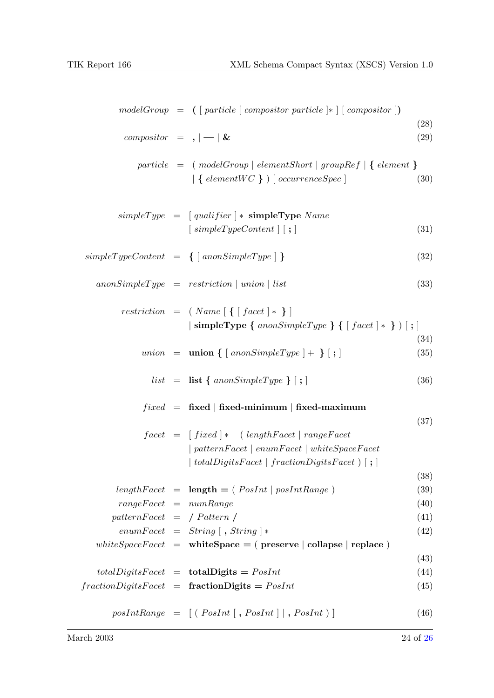|                             | $modelGroup = ( [particle [composition particle] * [ (composition])$                                                 |      |
|-----------------------------|----------------------------------------------------------------------------------------------------------------------|------|
|                             |                                                                                                                      | (28) |
| compositor = $,$ $  \&$     |                                                                                                                      | (29) |
|                             | $particle = (modelGroup   elementShort   groupRef   { element }$                                                     |      |
|                             | $\vert \{\text{ elementWC }\}\ \rangle$ [ occurrence Spec ]                                                          | (30) |
|                             | $simpleType = [qualifier] * simpleType Name$                                                                         |      |
|                             | $\lceil$ simpleTypeContent $\rceil$ ; $\rceil$                                                                       | (31) |
|                             | $simpleTypeContent = \{ [anonSimpleType] \}$                                                                         | (32) |
|                             | $anonSimpleType = restriction \mid union \mid list$                                                                  | (33) |
|                             | $restriction = \{ Name [\{\, [ facet] * \}\,]$                                                                       |      |
|                             | simpleType { $anonSimpleType$ } { $\lceil$ facet $\rceil *$ } $\rceil$ ; $\rceil$                                    | (34) |
|                             | $union = union \{ [anonSimpleType] + \} [ ; ]$                                                                       | (35) |
|                             | $list = list \{ \text{anonsimpleType} \} [ ; ]$                                                                      | (36) |
|                             | $fixed$ = fixed   fixed-minimum   fixed-maximum                                                                      |      |
|                             |                                                                                                                      | (37) |
|                             | $facet = [fixed] * (lengthFace   rangeFace$                                                                          |      |
|                             | $\mid patternFace \mid enumFace \mid whiteSpaceFace$<br>$totalDigitsFace$   $fractionDigitsFace$ ) $\vert$ ;         |      |
|                             |                                                                                                                      | (38) |
|                             | $lengthFace t = length = (PosInt   posIntRange)$                                                                     | (39) |
| $rangeFace t = numRange$    |                                                                                                                      | (40) |
| $patternFacet = /Pattern /$ |                                                                                                                      | (41) |
|                             | $enumFacet = String [$ , $String$ $]*$                                                                               | (42) |
|                             | $whiteSpaceFace \, = \, \text{whiteSpace} = (\, \text{pressure} \,   \, \text{collapse} \,   \, \text{replace} \, )$ |      |
|                             |                                                                                                                      | (43) |
|                             | $totalDigitsFace_t = totalDigits = PosInt$                                                                           | (44) |
|                             | $fraction DigitsFace t = fraction Digits = PosInt$                                                                   | (45) |
|                             | $posIntRange = [(PosInt[, PosInt], PosInt]$                                                                          | (46) |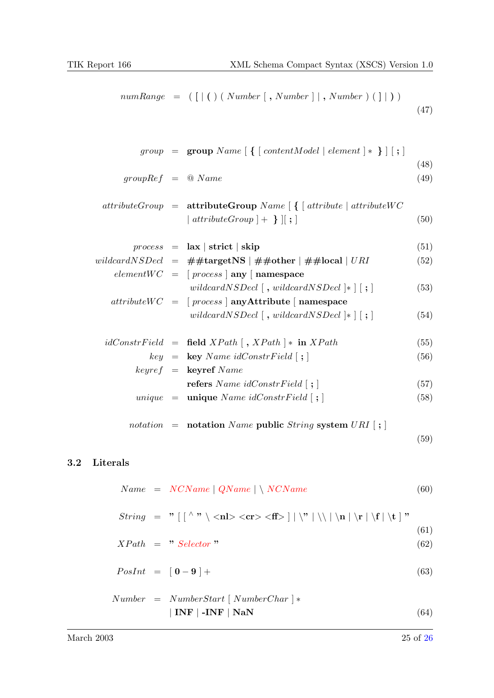<span id="page-24-0"></span>
$$
numRange = (\lfloor | () (Number \lfloor, Number \rfloor |, Number \rfloor |))
$$
\n(47)

$$
group = \text{group Name} \begin{bmatrix} \{ [ \text{ contentModel} | \text{ element } ] * \} \end{bmatrix} \begin{bmatrix} ; \end{bmatrix}
$$
\n
$$
groupRef = @Name
$$
\n
$$
attributeGroup = \text{attributeGroup Name} \begin{bmatrix} \{ [ \text{ attribute} | \text{ attribute} ] \} \end{bmatrix}
$$
\n
$$
| attributeGroup \} + \} || \}
$$
\n
$$
(50)
$$

$$
process = \text{lax} \mid \text{strict} \mid \text{skip} \tag{51}
$$
\n
$$
wildcardNSDecl = #\#targetNS \mid #\#other \mid #\#local \mid URI \tag{52}
$$
\n
$$
elementWC = \left[ process \mid \text{any} \mid \text{namespace} \right]
$$
\n
$$
withoutWC = \left[ process \mid \text{any} \mid \text{tridcardNSDecl} \mid * \right] \mid ; \tag{53}
$$
\n
$$
attributeWC = \left[ process \mid \text{any} \text{Attribute} \mid \text{namespace} \right]
$$

$$
wildcard NSDecl [ , wildcard NSDecl ]* [ ; ] \qquad (54)
$$

$$
idConstructField = field XPath [, XPath] * in XPath
$$
 (55)

$$
key = \text{key Name } idConstruct \text{ } [\text{ } ; \text{ } ]
$$
\n
$$
key = \text{key } Name
$$
\n
$$
[56]
$$

refers Name 
$$
i dConstrField
$$
 [ ; ]  
\n
$$
unique = unique Name i dConstrField [ ; ]
$$
\n
$$
(57)
$$
\n
$$
(58)
$$

notation = notation Name public String system  $URI$   $[ ; ]$ 

(59)

(61)

# 3.2 Literals

$$
Name = NCName \mid QName \mid \setminus NCName \tag{60}
$$

String = " [ [ <sup>∧</sup> " \ <nl> <cr> <ff> ] | \" | \\ | \n | \r | \f | \t ] "

$$
XPath = "Selector" \t\t(62)
$$

$$
PosInt = [0 - 9] + \tag{63}
$$

$$
Number = NumberStart [NumberChar] *| INF | - INF | NaN
$$
\n(64)